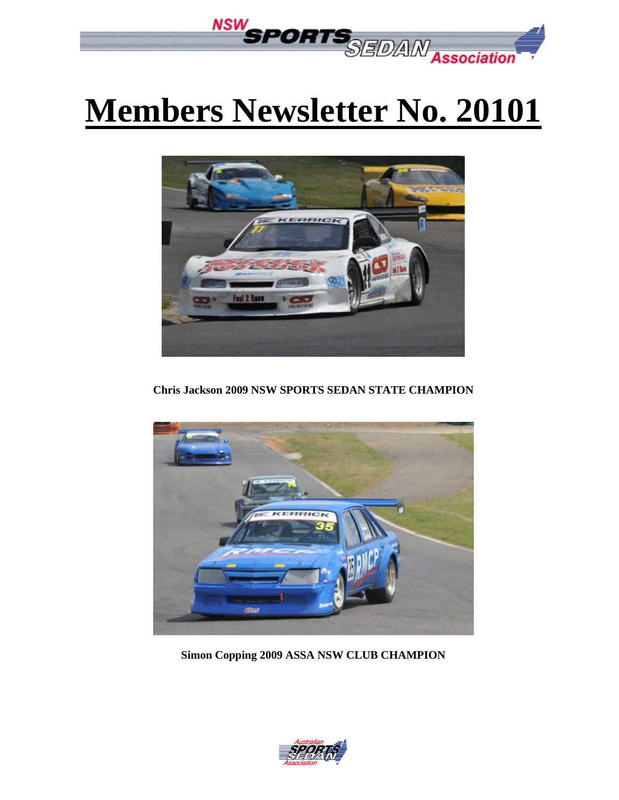

# **Members Newsletter No. 20101**



**Chris Jackson 2009 NSW SPORTS SEDAN STATE CHAMPION** 



**Simon Copping 2009 ASSA NSW CLUB CHAMPION** 

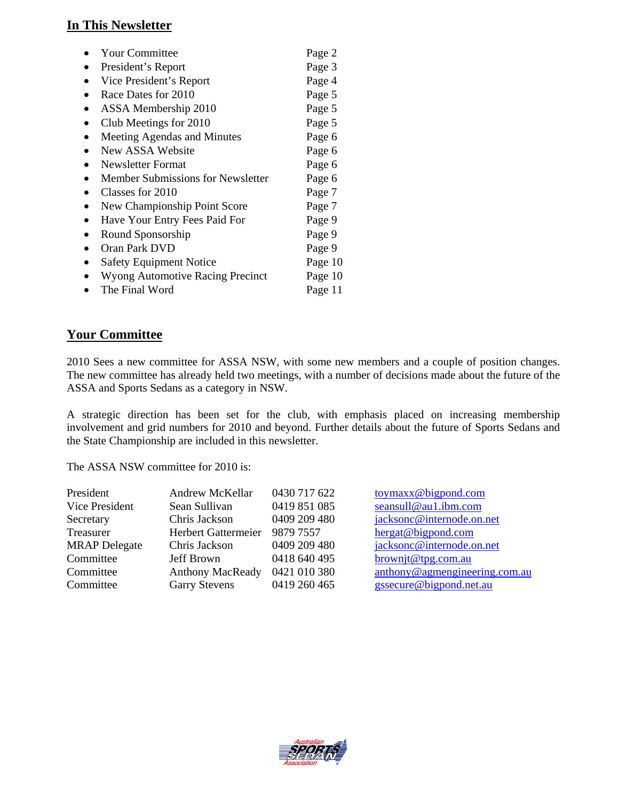## **In This Newsletter**

| <b>Your Committee</b>                    | Page 2  |
|------------------------------------------|---------|
| President's Report                       | Page 3  |
| Vice President's Report                  | Page 4  |
| Race Dates for 2010                      | Page 5  |
| ASSA Membership 2010                     | Page 5  |
| Club Meetings for 2010                   | Page 5  |
| Meeting Agendas and Minutes              | Page 6  |
| New ASSA Website                         | Page 6  |
| Newsletter Format                        | Page 6  |
| <b>Member Submissions for Newsletter</b> | Page 6  |
| Classes for 2010                         | Page 7  |
| New Championship Point Score             | Page 7  |
| Have Your Entry Fees Paid For            | Page 9  |
| Round Sponsorship                        | Page 9  |
| Oran Park DVD                            | Page 9  |
| <b>Safety Equipment Notice</b>           | Page 10 |
| <b>Wyong Automotive Racing Precinct</b>  | Page 10 |
| The Final Word                           | Page 11 |
|                                          |         |

## **Your Committee**

2010 Sees a new committee for ASSA NSW, with some new members and a couple of position changes. The new committee has already held two meetings, with a number of decisions made about the future of the ASSA and Sports Sedans as a category in NSW.

A strategic direction has been set for the club, with emphasis placed on increasing membership involvement and grid numbers for 2010 and beyond. Further details about the future of Sports Sedans and the State Championship are included in this newsletter.

The ASSA NSW committee for 2010 is:

| President            | Andrew McKellar         | 0430 717 622 | toymax x @ bigpond.com        |
|----------------------|-------------------------|--------------|-------------------------------|
| Vice President       | Sean Sullivan           | 0419 851 085 | seansull@au1.ibm.com          |
| Secretary            | Chris Jackson           | 0409 209 480 | jacksonc@internode.on.net     |
| Treasurer            | Herbert Gattermeier     | 9879 7557    | hergat@bigpond.com            |
| <b>MRAP</b> Delegate | Chris Jackson           | 0409 209 480 | jacksonc@internode.on.net     |
| Committee            | Jeff Brown              | 0418 640 495 | brownit@tpg.com.au            |
| Committee            | <b>Anthony MacReady</b> | 0421 010 380 | anthony@agmengineering.com.au |
| Committee            | <b>Garry Stevens</b>    | 0419 260 465 | gssecure@bigpond.net.au       |

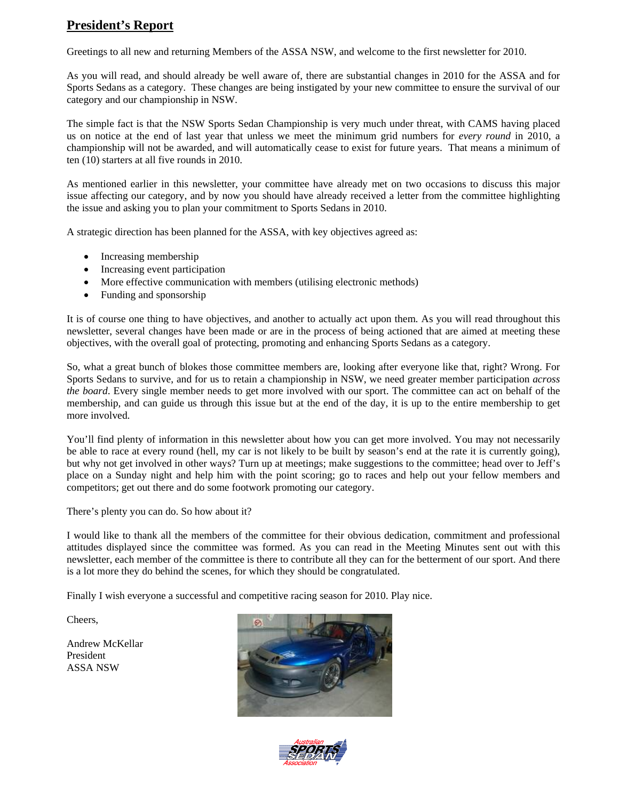# **President's Report**

Greetings to all new and returning Members of the ASSA NSW, and welcome to the first newsletter for 2010.

As you will read, and should already be well aware of, there are substantial changes in 2010 for the ASSA and for Sports Sedans as a category. These changes are being instigated by your new committee to ensure the survival of our category and our championship in NSW.

The simple fact is that the NSW Sports Sedan Championship is very much under threat, with CAMS having placed us on notice at the end of last year that unless we meet the minimum grid numbers for *every round* in 2010, a championship will not be awarded, and will automatically cease to exist for future years. That means a minimum of ten (10) starters at all five rounds in 2010.

As mentioned earlier in this newsletter, your committee have already met on two occasions to discuss this major issue affecting our category, and by now you should have already received a letter from the committee highlighting the issue and asking you to plan your commitment to Sports Sedans in 2010.

A strategic direction has been planned for the ASSA, with key objectives agreed as:

- Increasing membership
- Increasing event participation
- More effective communication with members (utilising electronic methods)
- Funding and sponsorship

It is of course one thing to have objectives, and another to actually act upon them. As you will read throughout this newsletter, several changes have been made or are in the process of being actioned that are aimed at meeting these objectives, with the overall goal of protecting, promoting and enhancing Sports Sedans as a category.

So, what a great bunch of blokes those committee members are, looking after everyone like that, right? Wrong. For Sports Sedans to survive, and for us to retain a championship in NSW, we need greater member participation *across the board*. Every single member needs to get more involved with our sport. The committee can act on behalf of the membership, and can guide us through this issue but at the end of the day, it is up to the entire membership to get more involved.

You'll find plenty of information in this newsletter about how you can get more involved. You may not necessarily be able to race at every round (hell, my car is not likely to be built by season's end at the rate it is currently going), but why not get involved in other ways? Turn up at meetings; make suggestions to the committee; head over to Jeff's place on a Sunday night and help him with the point scoring; go to races and help out your fellow members and competitors; get out there and do some footwork promoting our category.

There's plenty you can do. So how about it?

I would like to thank all the members of the committee for their obvious dedication, commitment and professional attitudes displayed since the committee was formed. As you can read in the Meeting Minutes sent out with this newsletter, each member of the committee is there to contribute all they can for the betterment of our sport. And there is a lot more they do behind the scenes, for which they should be congratulated.

Finally I wish everyone a successful and competitive racing season for 2010. Play nice.

Cheers,

Andrew McKellar President ASSA NSW



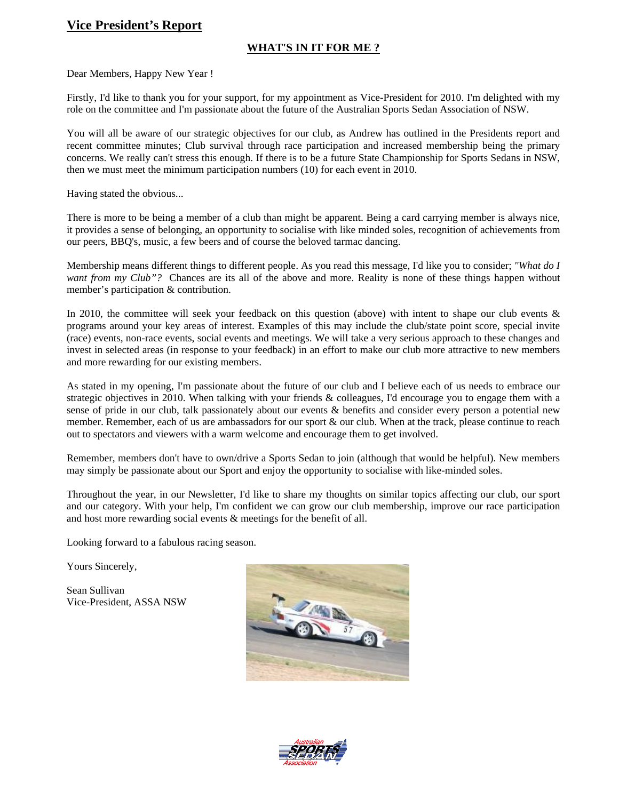## **Vice President's Report**

#### **WHAT'S IN IT FOR ME ?**

Dear Members, Happy New Year !

Firstly, I'd like to thank you for your support, for my appointment as Vice-President for 2010. I'm delighted with my role on the committee and I'm passionate about the future of the Australian Sports Sedan Association of NSW.

You will all be aware of our strategic objectives for our club, as Andrew has outlined in the Presidents report and recent committee minutes; Club survival through race participation and increased membership being the primary concerns. We really can't stress this enough. If there is to be a future State Championship for Sports Sedans in NSW, then we must meet the minimum participation numbers (10) for each event in 2010.

Having stated the obvious...

There is more to be being a member of a club than might be apparent. Being a card carrying member is always nice, it provides a sense of belonging, an opportunity to socialise with like minded soles, recognition of achievements from our peers, BBQ's, music, a few beers and of course the beloved tarmac dancing.

Membership means different things to different people. As you read this message, I'd like you to consider; *"What do I want from my Club"?* Chances are its all of the above and more. Reality is none of these things happen without member's participation & contribution.

In 2010, the committee will seek your feedback on this question (above) with intent to shape our club events & programs around your key areas of interest. Examples of this may include the club/state point score, special invite (race) events, non-race events, social events and meetings. We will take a very serious approach to these changes and invest in selected areas (in response to your feedback) in an effort to make our club more attractive to new members and more rewarding for our existing members.

As stated in my opening, I'm passionate about the future of our club and I believe each of us needs to embrace our strategic objectives in 2010. When talking with your friends & colleagues, I'd encourage you to engage them with a sense of pride in our club, talk passionately about our events & benefits and consider every person a potential new member. Remember, each of us are ambassadors for our sport & our club. When at the track, please continue to reach out to spectators and viewers with a warm welcome and encourage them to get involved.

Remember, members don't have to own/drive a Sports Sedan to join (although that would be helpful). New members may simply be passionate about our Sport and enjoy the opportunity to socialise with like-minded soles.

Throughout the year, in our Newsletter, I'd like to share my thoughts on similar topics affecting our club, our sport and our category. With your help, I'm confident we can grow our club membership, improve our race participation and host more rewarding social events & meetings for the benefit of all.

Looking forward to a fabulous racing season.

Yours Sincerely,

Sean Sullivan Vice-President, ASSA NSW



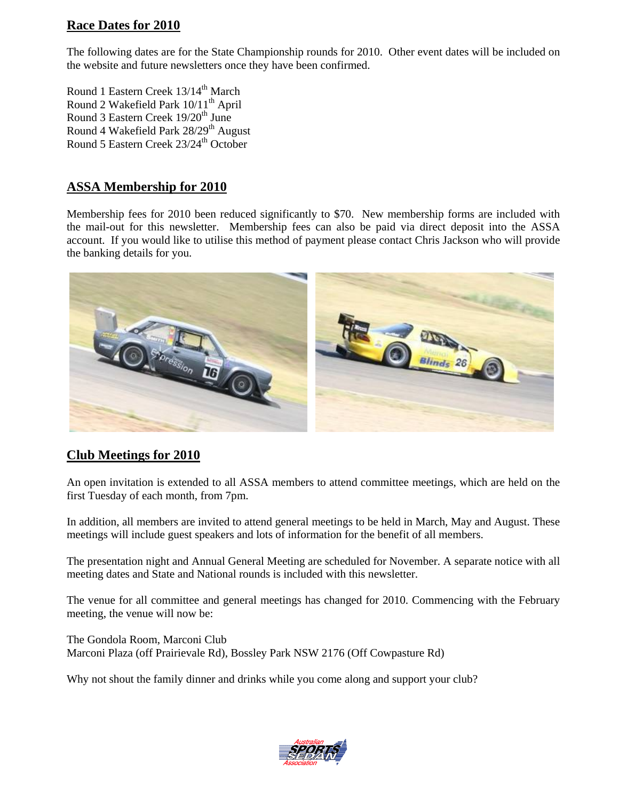## **Race Dates for 2010**

The following dates are for the State Championship rounds for 2010. Other event dates will be included on the website and future newsletters once they have been confirmed.

Round 1 Eastern Creek 13/14<sup>th</sup> March Round 2 Wakefield Park  $10/11^{\text{th}}$  April Round 3 Eastern Creek 19/20<sup>th</sup> June Round 4 Wakefield Park 28/29<sup>th</sup> August Round 5 Eastern Creek 23/24<sup>th</sup> October

## **ASSA Membership for 2010**

Membership fees for 2010 been reduced significantly to \$70. New membership forms are included with the mail-out for this newsletter. Membership fees can also be paid via direct deposit into the ASSA account. If you would like to utilise this method of payment please contact Chris Jackson who will provide the banking details for you.



## **Club Meetings for 2010**

An open invitation is extended to all ASSA members to attend committee meetings, which are held on the first Tuesday of each month, from 7pm.

In addition, all members are invited to attend general meetings to be held in March, May and August. These meetings will include guest speakers and lots of information for the benefit of all members.

The presentation night and Annual General Meeting are scheduled for November. A separate notice with all meeting dates and State and National rounds is included with this newsletter.

The venue for all committee and general meetings has changed for 2010. Commencing with the February meeting, the venue will now be:

The Gondola Room, Marconi Club Marconi Plaza (off Prairievale Rd), Bossley Park NSW 2176 (Off Cowpasture Rd)

Why not shout the family dinner and drinks while you come along and support your club?

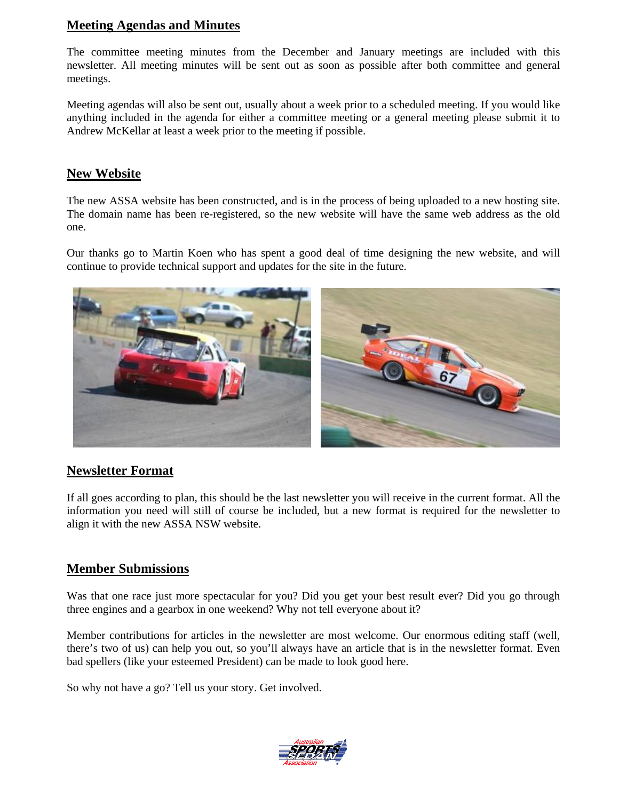## **Meeting Agendas and Minutes**

The committee meeting minutes from the December and January meetings are included with this newsletter. All meeting minutes will be sent out as soon as possible after both committee and general meetings.

Meeting agendas will also be sent out, usually about a week prior to a scheduled meeting. If you would like anything included in the agenda for either a committee meeting or a general meeting please submit it to Andrew McKellar at least a week prior to the meeting if possible.

#### **New Website**

The new ASSA website has been constructed, and is in the process of being uploaded to a new hosting site. The domain name has been re-registered, so the new website will have the same web address as the old one.

Our thanks go to Martin Koen who has spent a good deal of time designing the new website, and will continue to provide technical support and updates for the site in the future.



#### **Newsletter Format**

If all goes according to plan, this should be the last newsletter you will receive in the current format. All the information you need will still of course be included, but a new format is required for the newsletter to align it with the new ASSA NSW website.

#### **Member Submissions**

Was that one race just more spectacular for you? Did you get your best result ever? Did you go through three engines and a gearbox in one weekend? Why not tell everyone about it?

Member contributions for articles in the newsletter are most welcome. Our enormous editing staff (well, there's two of us) can help you out, so you'll always have an article that is in the newsletter format. Even bad spellers (like your esteemed President) can be made to look good here.

So why not have a go? Tell us your story. Get involved.

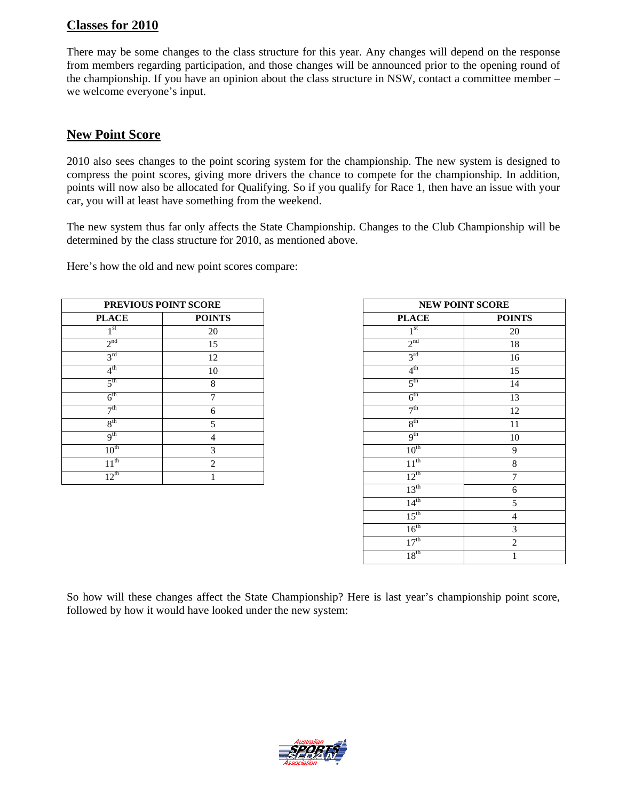## **Classes for 2010**

There may be some changes to the class structure for this year. Any changes will depend on the response from members regarding participation, and those changes will be announced prior to the opening round of the championship. If you have an opinion about the class structure in NSW, contact a committee member – we welcome everyone's input.

#### **New Point Score**

2010 also sees changes to the point scoring system for the championship. The new system is designed to compress the point scores, giving more drivers the chance to compete for the championship. In addition, points will now also be allocated for Qualifying. So if you qualify for Race 1, then have an issue with your car, you will at least have something from the weekend.

The new system thus far only affects the State Championship. Changes to the Club Championship will be determined by the class structure for 2010, as mentioned above.

Here's how the old and new point scores compare:

|                  | PREVIOUS POINT SCORE |                  | <b>NEW POINT SCORE</b> |  |
|------------------|----------------------|------------------|------------------------|--|
| <b>PLACE</b>     | <b>POINTS</b>        | <b>PLACE</b>     | <b>POIN</b>            |  |
| 1 <sup>st</sup>  | 20                   | 1 <sup>st</sup>  | 20                     |  |
| 2 <sup>nd</sup>  | 15                   | $2^{nd}$         | 18                     |  |
| 3 <sup>rd</sup>  | 12                   | 3 <sup>rd</sup>  | 16                     |  |
| $4^{\text{th}}$  | 10                   | 4 <sup>th</sup>  | 15                     |  |
| 5 <sup>th</sup>  | 8                    | 5 <sup>th</sup>  | 14                     |  |
| $6^{\text{th}}$  | $\mathcal{I}$        | $6^{\text{th}}$  | 13                     |  |
| $\neg$ th        | 6                    | 7 <sup>th</sup>  | 12                     |  |
| 8 <sup>th</sup>  | 5                    | 8 <sup>th</sup>  | 11                     |  |
| q <sup>th</sup>  | 4                    | 9 <sup>th</sup>  | 10                     |  |
| 10 <sup>th</sup> | 3                    | 10 <sup>th</sup> | 9                      |  |
| 1 1 th           | $\overline{2}$       | $11^{th}$        | 8                      |  |
| $12^{th}$        |                      | $12^{th}$        | $\tau$                 |  |

|                  | PREVIOUS POINT SCORE |                  | <b>NEW POINT SCORE</b> |
|------------------|----------------------|------------------|------------------------|
| <b>PLACE</b>     | <b>POINTS</b>        | <b>PLACE</b>     | <b>POINTS</b>          |
| 1 <sup>st</sup>  | 20                   | 1 <sup>st</sup>  | 20                     |
| 2 <sup>nd</sup>  | 15                   | 2 <sup>nd</sup>  | 18                     |
| 3 <sup>rd</sup>  | 12                   | $3^{\text{rd}}$  | 16                     |
| $4^{\text{th}}$  | $10\,$               | 4 <sup>th</sup>  | 15                     |
| $5^{\text{th}}$  | 8                    | $5^{\text{th}}$  | 14                     |
| $6^{\text{th}}$  | $\overline{7}$       | $6^{\text{th}}$  | 13                     |
| 7 <sup>th</sup>  | 6                    | 7 <sup>th</sup>  | 12                     |
| 8 <sup>th</sup>  | 5                    | 8 <sup>th</sup>  | 11                     |
| 9 <sup>th</sup>  | $\overline{4}$       | 9 <sup>th</sup>  | 10                     |
| $10^{\text{th}}$ | 3                    | 10 <sup>th</sup> | 9                      |
| $11^{th}$        | 2                    | $11^{th}$        | $\,8\,$                |
| $12^{th}$        | 1                    | $12^{th}$        | 7                      |
|                  |                      | $13^{\text{th}}$ | 6                      |
|                  |                      | 14 <sup>th</sup> | 5                      |
|                  |                      | $15^{\text{th}}$ | 4                      |
|                  |                      | 16 <sup>th</sup> | 3                      |
|                  |                      | 17 <sup>th</sup> | $\overline{2}$         |
|                  |                      | 18 <sup>th</sup> |                        |

So how will these changes affect the State Championship? Here is last year's championship point score, followed by how it would have looked under the new system:

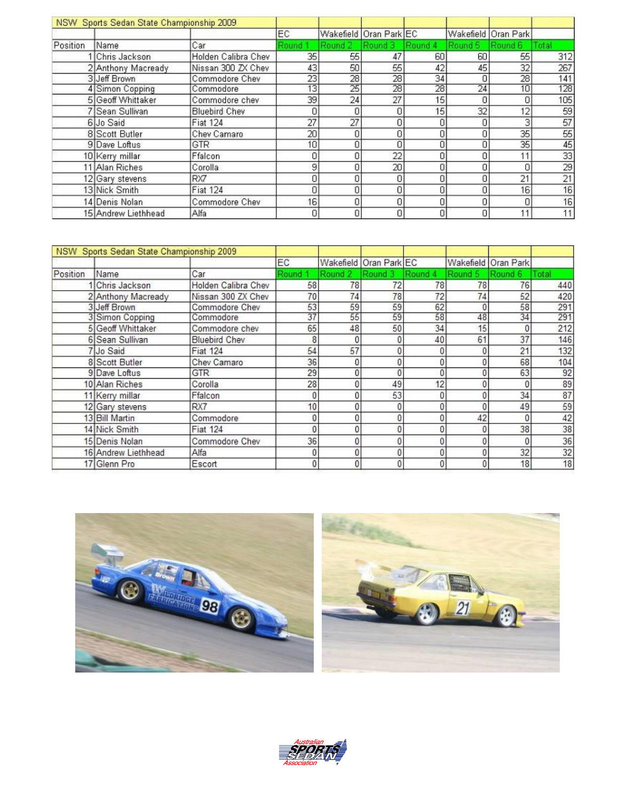|          | NSW Sports Sedan State Championship 2009 |                      |                 |         |                        |                 |         |                     |       |
|----------|------------------------------------------|----------------------|-----------------|---------|------------------------|-----------------|---------|---------------------|-------|
|          |                                          |                      | EC.             |         | Wakefield Oran Park EC |                 |         | Wakefield Oran Park |       |
| Position | Name                                     | Car                  | Round 1         | Round 2 | Round 3                | Round 4         | Round 5 | Round 6             | Total |
|          | Chris Jackson                            | Holden Calibra Chev  | 35 <sub>1</sub> | 55      | 47                     | 60              | 60      | 55                  | 312   |
|          | 2 Anthony Macready                       | Nissan 300 ZX Chev   | 43              | 50      | 55                     | 42              | 45      | 32                  | 267   |
|          | 3 Jeff Brown                             | Commodore Chev       | 23              | 28      | 28                     | 34              | n       | 28                  | 141   |
|          | 4 Simon Copping                          | Commodore            | 13              | 25      | 28                     | 28              | 24      | 10                  | 128   |
|          | 5 Geoff Whittaker                        | Commodore chev       | 39              | 24      | 27                     | 15 <sub>1</sub> | 0       | 0                   | 105   |
|          | 7 Sean Sullivan                          | <b>Bluebird Chev</b> |                 |         | $\Omega$               | 15 <sub>1</sub> | 32      | 12                  | 59    |
|          | 6 Jo Said                                | <b>Fiat 124</b>      | 27              | 27      | n                      |                 |         | З                   | 57    |
|          | 8 Scott Butler                           | Chev Camaro          | 20              | n       | 0                      | ۵               | ۵       | 35                  | 55    |
|          | 9 Dave Loftus                            | GTR                  | 10              |         | $\overline{0}$         | ۵               | 0       | 35                  | 45    |
|          | 10 Kerry millar                          | Ffalcon              | 0               |         | 22                     | Ū.              | 0       | 11                  | 33    |
|          | 11 Alan Riches                           | Corolla              | 9               |         | 20                     | 0.              | 0       | 0                   | 29    |
|          | 12 Gary stevens                          | RX7                  |                 |         | $\mathbf{0}$           | Ũ.              | 0       | 21                  | 21    |
|          | 13 Nick Smith                            | <b>Fiat 124</b>      |                 |         | 0                      | 0               | 0       | 16                  | 16    |
|          | 14 Denis Nolan                           | Commodore Chev       | 16.             |         | $\overline{0}$         | 0,              | O       | 0                   | 16    |
|          | 15 Andrew Liethhead                      | Alfa                 | ٥               |         | $\Omega$               | 0               | 0       | 11                  | 11    |

|          | NSW Sports Sedan State Championship 2009 |                      |       |          |                        |                 |         |                     |      |
|----------|------------------------------------------|----------------------|-------|----------|------------------------|-----------------|---------|---------------------|------|
|          |                                          |                      | EC    |          | Wakefield Oran Park EC |                 |         | Wakefield Oran Park |      |
| Position | Name                                     | Car                  | Round | Round 2  | Round 3                | Round 4         | Round 5 | Round 6             | otal |
|          | 1 Chris Jackson                          | Holden Calibra Chev  | 58    | 78       | 72                     | 78              | 78      | 76                  | 440  |
|          | 2 Anthony Macready                       | Nissan 300 ZX Chev   | 70    | 74       | 78                     | 72              | 74      | 52                  | 420  |
|          | 3 Jeff Brown                             | Commodore Chev       | 53    | 59       | 59                     | 62              | 0       | 58                  | 291  |
|          | 3 Simon Copping                          | Commodore            | 37    | 55       | 59                     | 58              | 48      | 34                  | 291  |
|          | 5 Geoff Whittaker                        | Commodore chev       | 65    | 48       | 50                     | 34              | 15      | 0                   | 212  |
|          | 6 Sean Sullivan                          | <b>Bluebird Chev</b> |       |          |                        | 40              | 61      | 37                  | 146  |
|          | 7 Jo Said                                | <b>Fiat 124</b>      | 54    | 57       |                        |                 |         | 21                  | 132  |
|          | 8 Scott Butler                           | Chev Camaro          | 36    |          |                        |                 | 0       | 68                  | 104  |
|          | 9 Dave Loftus                            | <b>GTR</b>           | 29    |          |                        |                 | 0       | 63                  | 92   |
|          | 10 Alan Riches                           | Corolla              | 28    |          | 49                     | 12 <sub>1</sub> |         | 0                   | 89   |
|          | 11 Kerry millar                          | Ffalcon              |       |          | 53                     |                 |         | 34                  | 87   |
|          | 12 Gary stevens                          | RX7                  | 10    |          |                        |                 | 0       | 49                  | 59   |
|          | 13 Bill Martin                           | Commodore            |       | 0        | $\Omega$               | $\mathbf{0}$    | 42      | 0                   | 42   |
|          | 14 Nick Smith                            | <b>Fiat 124</b>      |       |          |                        |                 |         | 38                  | 38   |
|          | 15 Denis Nolan                           | Commodore Chev       | 36    |          |                        |                 | 0       | 0                   | 36   |
|          | 16 Andrew Liethhead                      | Alfa                 |       |          |                        |                 | 0       | 32                  | 32   |
|          | 17 Glenn Pro                             | Escort               | n     | $\theta$ | $\mathbf{0}$           | 01              | 0       | 18                  | 18   |



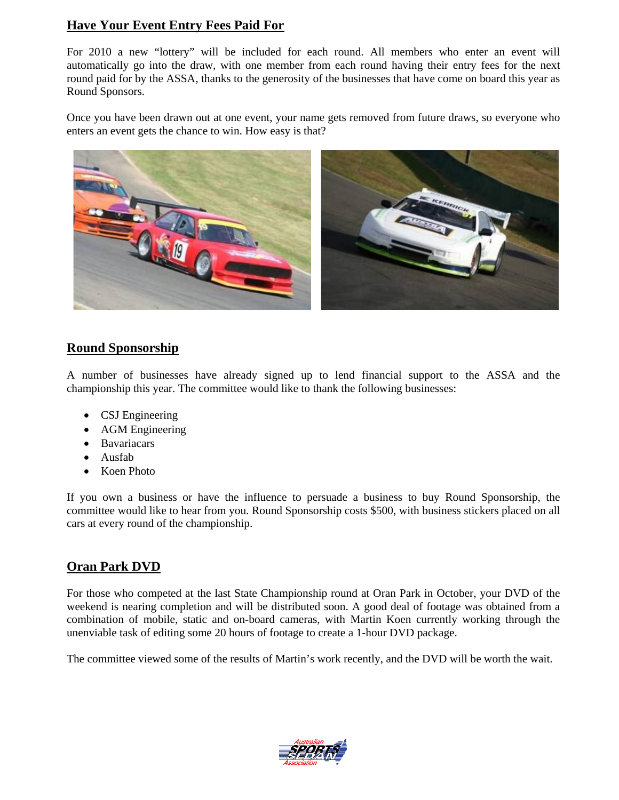## **Have Your Event Entry Fees Paid For**

For 2010 a new "lottery" will be included for each round. All members who enter an event will automatically go into the draw, with one member from each round having their entry fees for the next round paid for by the ASSA, thanks to the generosity of the businesses that have come on board this year as Round Sponsors.

Once you have been drawn out at one event, your name gets removed from future draws, so everyone who enters an event gets the chance to win. How easy is that?



## **Round Sponsorship**

A number of businesses have already signed up to lend financial support to the ASSA and the championship this year. The committee would like to thank the following businesses:

- CSJ Engineering
- AGM Engineering
- Bavariacars
- Ausfab
- Koen Photo

If you own a business or have the influence to persuade a business to buy Round Sponsorship, the committee would like to hear from you. Round Sponsorship costs \$500, with business stickers placed on all cars at every round of the championship.

# **Oran Park DVD**

For those who competed at the last State Championship round at Oran Park in October, your DVD of the weekend is nearing completion and will be distributed soon. A good deal of footage was obtained from a combination of mobile, static and on-board cameras, with Martin Koen currently working through the unenviable task of editing some 20 hours of footage to create a 1-hour DVD package.

The committee viewed some of the results of Martin's work recently, and the DVD will be worth the wait.

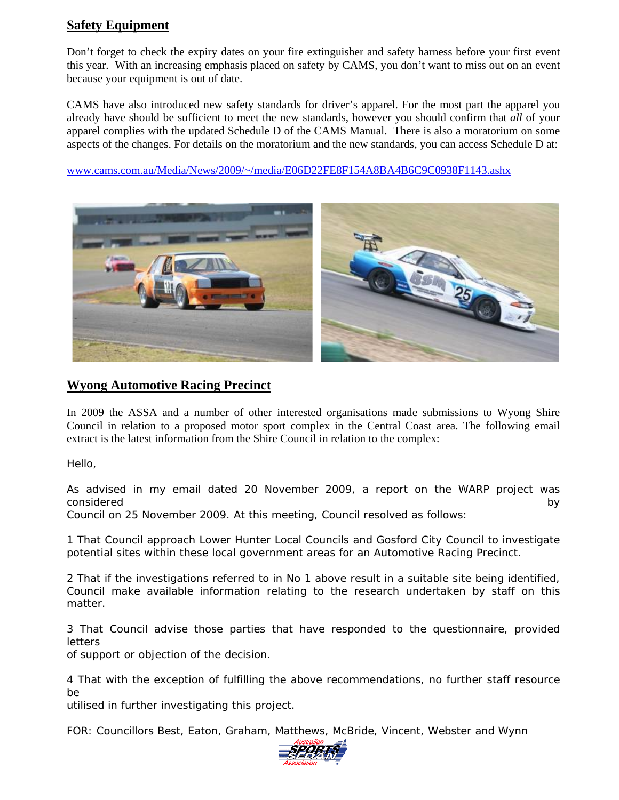## **Safety Equipment**

Don't forget to check the expiry dates on your fire extinguisher and safety harness before your first event this year. With an increasing emphasis placed on safety by CAMS, you don't want to miss out on an event because your equipment is out of date.

CAMS have also introduced new safety standards for driver's apparel. For the most part the apparel you already have should be sufficient to meet the new standards, however you should confirm that *all* of your apparel complies with the updated Schedule D of the CAMS Manual. There is also a moratorium on some aspects of the changes. For details on the moratorium and the new standards, you can access Schedule D at:

www.cams.com.au/Media/News/2009/~/media/E06D22FE8F154A8BA4B6C9C0938F1143.ashx



## **Wyong Automotive Racing Precinct**

In 2009 the ASSA and a number of other interested organisations made submissions to Wyong Shire Council in relation to a proposed motor sport complex in the Central Coast area. The following email extract is the latest information from the Shire Council in relation to the complex:

Hello,

As advised in my email dated 20 November 2009, a report on the WARP project was considered by the constant of the considered by the considered by the considered by  $\mathsf{b}\mathsf{y}$ 

Council on 25 November 2009. At this meeting, Council resolved as follows:

1 That Council approach Lower Hunter Local Councils and Gosford City Council to investigate potential sites within these local government areas for an Automotive Racing Precinct.

2 That if the investigations referred to in No 1 above result in a suitable site being identified, Council make available information relating to the research undertaken by staff on this matter.

3 That Council advise those parties that have responded to the questionnaire, provided letters

of support or objection of the decision.

4 That with the exception of fulfilling the above recommendations, no further staff resource be

utilised in further investigating this project.

FOR: Councillors Best, Eaton, Graham, Matthews, McBride, Vincent, Webster and Wynn

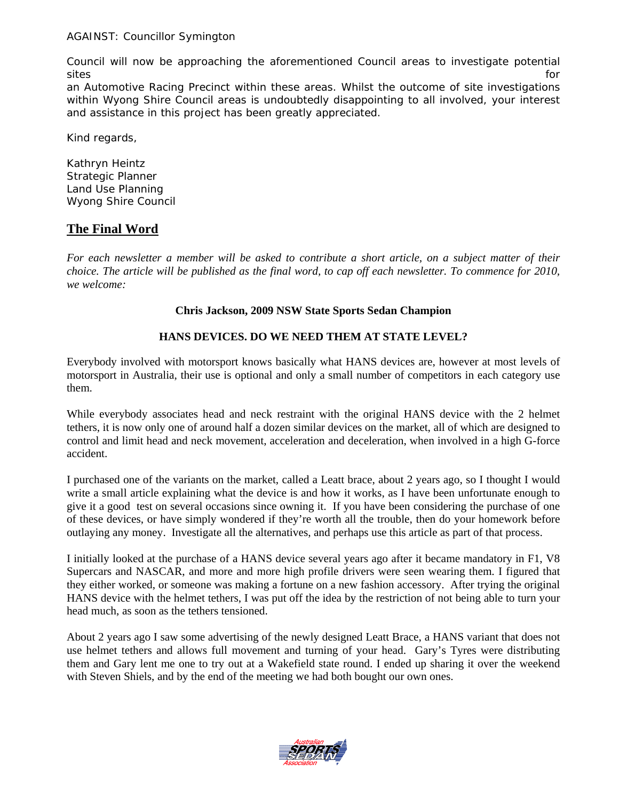Council will now be approaching the aforementioned Council areas to investigate potential sites for the state of the state of the state of the state of the state of the state of the state of the state of the state of the state of the state of the state of the state of the state of the state of the state of the

an Automotive Racing Precinct within these areas. Whilst the outcome of site investigations within Wyong Shire Council areas is undoubtedly disappointing to all involved, your interest and assistance in this project has been greatly appreciated.

Kind regards,

Kathryn Heintz Strategic Planner Land Use Planning Wyong Shire Council

# **The Final Word**

*For each newsletter a member will be asked to contribute a short article, on a subject matter of their choice. The article will be published as the final word, to cap off each newsletter. To commence for 2010, we welcome:* 

#### **Chris Jackson, 2009 NSW State Sports Sedan Champion**

#### **HANS DEVICES. DO WE NEED THEM AT STATE LEVEL?**

Everybody involved with motorsport knows basically what HANS devices are, however at most levels of motorsport in Australia, their use is optional and only a small number of competitors in each category use them.

While everybody associates head and neck restraint with the original HANS device with the 2 helmet tethers, it is now only one of around half a dozen similar devices on the market, all of which are designed to control and limit head and neck movement, acceleration and deceleration, when involved in a high G-force accident.

I purchased one of the variants on the market, called a Leatt brace, about 2 years ago, so I thought I would write a small article explaining what the device is and how it works, as I have been unfortunate enough to give it a good test on several occasions since owning it. If you have been considering the purchase of one of these devices, or have simply wondered if they're worth all the trouble, then do your homework before outlaying any money. Investigate all the alternatives, and perhaps use this article as part of that process.

I initially looked at the purchase of a HANS device several years ago after it became mandatory in F1, V8 Supercars and NASCAR, and more and more high profile drivers were seen wearing them. I figured that they either worked, or someone was making a fortune on a new fashion accessory. After trying the original HANS device with the helmet tethers, I was put off the idea by the restriction of not being able to turn your head much, as soon as the tethers tensioned.

About 2 years ago I saw some advertising of the newly designed Leatt Brace, a HANS variant that does not use helmet tethers and allows full movement and turning of your head. Gary's Tyres were distributing them and Gary lent me one to try out at a Wakefield state round. I ended up sharing it over the weekend with Steven Shiels, and by the end of the meeting we had both bought our own ones.

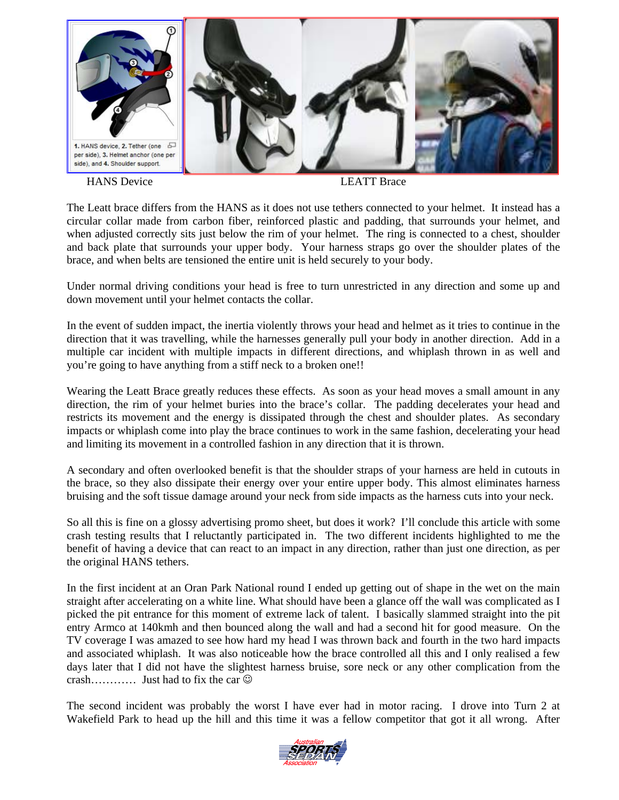

HANS Device LEATT Brace

The Leatt brace differs from the HANS as it does not use tethers connected to your helmet. It instead has a circular collar made from carbon fiber, reinforced plastic and padding, that surrounds your helmet, and when adjusted correctly sits just below the rim of your helmet. The ring is connected to a chest, shoulder and back plate that surrounds your upper body. Your harness straps go over the shoulder plates of the brace, and when belts are tensioned the entire unit is held securely to your body.

Under normal driving conditions your head is free to turn unrestricted in any direction and some up and down movement until your helmet contacts the collar.

In the event of sudden impact, the inertia violently throws your head and helmet as it tries to continue in the direction that it was travelling, while the harnesses generally pull your body in another direction. Add in a multiple car incident with multiple impacts in different directions, and whiplash thrown in as well and you're going to have anything from a stiff neck to a broken one!!

Wearing the Leatt Brace greatly reduces these effects. As soon as your head moves a small amount in any direction, the rim of your helmet buries into the brace's collar. The padding decelerates your head and restricts its movement and the energy is dissipated through the chest and shoulder plates. As secondary impacts or whiplash come into play the brace continues to work in the same fashion, decelerating your head and limiting its movement in a controlled fashion in any direction that it is thrown.

A secondary and often overlooked benefit is that the shoulder straps of your harness are held in cutouts in the brace, so they also dissipate their energy over your entire upper body. This almost eliminates harness bruising and the soft tissue damage around your neck from side impacts as the harness cuts into your neck.

So all this is fine on a glossy advertising promo sheet, but does it work? I'll conclude this article with some crash testing results that I reluctantly participated in. The two different incidents highlighted to me the benefit of having a device that can react to an impact in any direction, rather than just one direction, as per the original HANS tethers.

In the first incident at an Oran Park National round I ended up getting out of shape in the wet on the main straight after accelerating on a white line. What should have been a glance off the wall was complicated as I picked the pit entrance for this moment of extreme lack of talent. I basically slammed straight into the pit entry Armco at 140kmh and then bounced along the wall and had a second hit for good measure. On the TV coverage I was amazed to see how hard my head I was thrown back and fourth in the two hard impacts and associated whiplash. It was also noticeable how the brace controlled all this and I only realised a few days later that I did not have the slightest harness bruise, sore neck or any other complication from the crash………… Just had to fix the car  $\odot$ 

The second incident was probably the worst I have ever had in motor racing. I drove into Turn 2 at Wakefield Park to head up the hill and this time it was a fellow competitor that got it all wrong. After